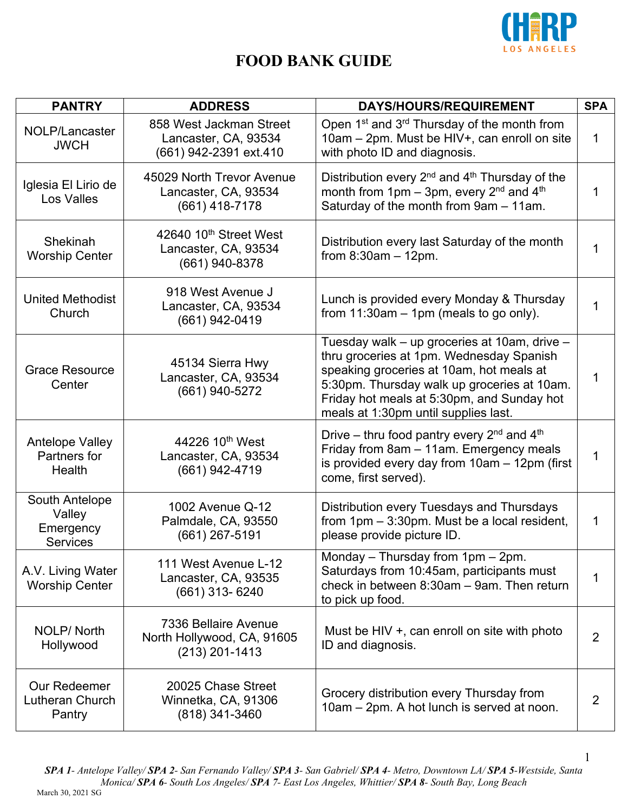

| <b>PANTRY</b>                                            | <b>ADDRESS</b>                                                            | <b>DAYS/HOURS/REQUIREMENT</b>                                                                                                                                                                                                                                             | <b>SPA</b>     |
|----------------------------------------------------------|---------------------------------------------------------------------------|---------------------------------------------------------------------------------------------------------------------------------------------------------------------------------------------------------------------------------------------------------------------------|----------------|
| NOLP/Lancaster<br><b>JWCH</b>                            | 858 West Jackman Street<br>Lancaster, CA, 93534<br>(661) 942-2391 ext.410 | Open 1 <sup>st</sup> and 3 <sup>rd</sup> Thursday of the month from<br>10am - 2pm. Must be HIV+, can enroll on site<br>with photo ID and diagnosis.                                                                                                                       | 1              |
| Iglesia El Lirio de<br>Los Valles                        | 45029 North Trevor Avenue<br>Lancaster, CA, 93534<br>$(661)$ 418-7178     | Distribution every $2^{nd}$ and $4^{th}$ Thursday of the<br>month from $1pm - 3pm$ , every $2^{nd}$ and $4^{th}$<br>Saturday of the month from 9am - 11am.                                                                                                                | 1              |
| Shekinah<br><b>Worship Center</b>                        | 42640 10th Street West<br>Lancaster, CA, 93534<br>(661) 940-8378          | Distribution every last Saturday of the month<br>from $8:30am - 12pm$ .                                                                                                                                                                                                   |                |
| United Methodist<br>Church                               | 918 West Avenue J<br>Lancaster, CA, 93534<br>(661) 942-0419               | Lunch is provided every Monday & Thursday<br>from 11:30am - 1pm (meals to go only).                                                                                                                                                                                       |                |
| <b>Grace Resource</b><br>Center                          | 45134 Sierra Hwy<br>Lancaster, CA, 93534<br>(661) 940-5272                | Tuesday walk - up groceries at 10am, drive -<br>thru groceries at 1pm. Wednesday Spanish<br>speaking groceries at 10am, hot meals at<br>5:30pm. Thursday walk up groceries at 10am.<br>Friday hot meals at 5:30pm, and Sunday hot<br>meals at 1:30pm until supplies last. | 1              |
| <b>Antelope Valley</b><br>Partners for<br>Health         | 44226 10 <sup>th</sup> West<br>Lancaster, CA, 93534<br>(661) 942-4719     | Drive – thru food pantry every $2^{nd}$ and $4^{th}$<br>Friday from 8am - 11am. Emergency meals<br>is provided every day from 10am - 12pm (first<br>come, first served).                                                                                                  | 1              |
| South Antelope<br>Valley<br>Emergency<br><b>Services</b> | 1002 Avenue Q-12<br>Palmdale, CA, 93550<br>(661) 267-5191                 | Distribution every Tuesdays and Thursdays<br>from $1pm - 3:30pm$ . Must be a local resident,<br>please provide picture ID.                                                                                                                                                | 1              |
| A.V. Living Water<br><b>Worship Center</b>               | 111 West Avenue L-12<br>Lancaster, CA, 93535<br>(661) 313- 6240           | Monday - Thursday from 1pm - 2pm.<br>Saturdays from 10:45am, participants must<br>check in between 8:30am - 9am. Then return<br>to pick up food.                                                                                                                          | 1              |
| NOLP/North<br>Hollywood                                  | 7336 Bellaire Avenue<br>North Hollywood, CA, 91605<br>$(213)$ 201-1413    | Must be HIV +, can enroll on site with photo<br>ID and diagnosis.                                                                                                                                                                                                         | $\overline{2}$ |
| Our Redeemer<br>Lutheran Church<br>Pantry                | 20025 Chase Street<br>Winnetka, CA, 91306<br>(818) 341-3460               | Grocery distribution every Thursday from<br>10am - 2pm. A hot lunch is served at noon.                                                                                                                                                                                    | 2              |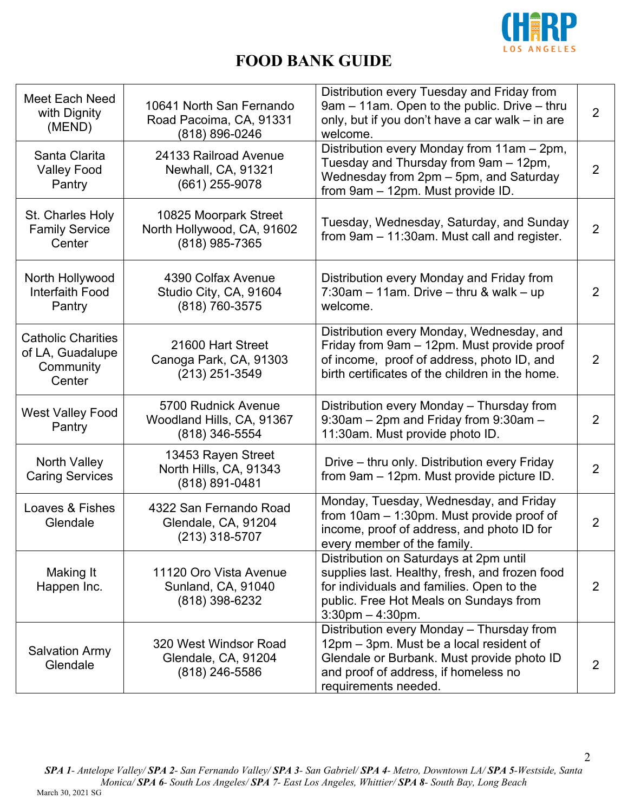

| Meet Each Need<br>with Dignity<br>(MEND)                             | 10641 North San Fernando<br>Road Pacoima, CA, 91331<br>(818) 896-0246 | Distribution every Tuesday and Friday from<br>9am – 11am. Open to the public. Drive – thru<br>only, but if you don't have a car walk – in are<br>welcome.                                                | $\overline{2}$ |
|----------------------------------------------------------------------|-----------------------------------------------------------------------|----------------------------------------------------------------------------------------------------------------------------------------------------------------------------------------------------------|----------------|
| Santa Clarita<br><b>Valley Food</b><br>Pantry                        | 24133 Railroad Avenue<br>Newhall, CA, 91321<br>(661) 255-9078         | Distribution every Monday from 11am - 2pm,<br>Tuesday and Thursday from 9am - 12pm,<br>Wednesday from 2pm - 5pm, and Saturday<br>from 9am - 12pm. Must provide ID.                                       | $\overline{2}$ |
| St. Charles Holy<br><b>Family Service</b><br>Center                  | 10825 Moorpark Street<br>North Hollywood, CA, 91602<br>(818) 985-7365 | Tuesday, Wednesday, Saturday, and Sunday<br>from 9am - 11:30am. Must call and register.                                                                                                                  | $\overline{2}$ |
| North Hollywood<br><b>Interfaith Food</b><br>Pantry                  | 4390 Colfax Avenue<br>Studio City, CA, 91604<br>(818) 760-3575        | Distribution every Monday and Friday from<br>$7:30$ am – 11am. Drive – thru & walk – up<br>welcome.                                                                                                      | $\overline{2}$ |
| <b>Catholic Charities</b><br>of LA, Guadalupe<br>Community<br>Center | 21600 Hart Street<br>Canoga Park, CA, 91303<br>(213) 251-3549         | Distribution every Monday, Wednesday, and<br>Friday from 9am - 12pm. Must provide proof<br>of income, proof of address, photo ID, and<br>birth certificates of the children in the home.                 | $\overline{2}$ |
| <b>West Valley Food</b><br>Pantry                                    | 5700 Rudnick Avenue<br>Woodland Hills, CA, 91367<br>(818) 346-5554    | Distribution every Monday - Thursday from<br>9:30am - 2pm and Friday from 9:30am -<br>11:30am. Must provide photo ID.                                                                                    | 2              |
| North Valley<br><b>Caring Services</b>                               | 13453 Rayen Street<br>North Hills, CA, 91343<br>(818) 891-0481        | Drive - thru only. Distribution every Friday<br>from 9am - 12pm. Must provide picture ID.                                                                                                                | $\overline{2}$ |
| Loaves & Fishes<br>Glendale                                          | 4322 San Fernando Road<br>Glendale, CA, 91204<br>(213) 318-5707       | Monday, Tuesday, Wednesday, and Friday<br>from $10am - 1:30pm$ . Must provide proof of<br>income, proof of address, and photo ID for<br>every member of the family.                                      | $\overline{2}$ |
| Making It<br>Happen Inc.                                             | 11120 Oro Vista Avenue<br>Sunland, CA, 91040<br>$(818)$ 398-6232      | Distribution on Saturdays at 2pm until<br>supplies last. Healthy, fresh, and frozen food<br>for individuals and families. Open to the<br>public. Free Hot Meals on Sundays from<br>$3:30$ pm $-4:30$ pm. | 2              |
| <b>Salvation Army</b><br>Glendale                                    | 320 West Windsor Road<br>Glendale, CA, 91204<br>$(818)$ 246-5586      | Distribution every Monday - Thursday from<br>12pm – 3pm. Must be a local resident of<br>Glendale or Burbank. Must provide photo ID<br>and proof of address, if homeless no<br>requirements needed.       | 2              |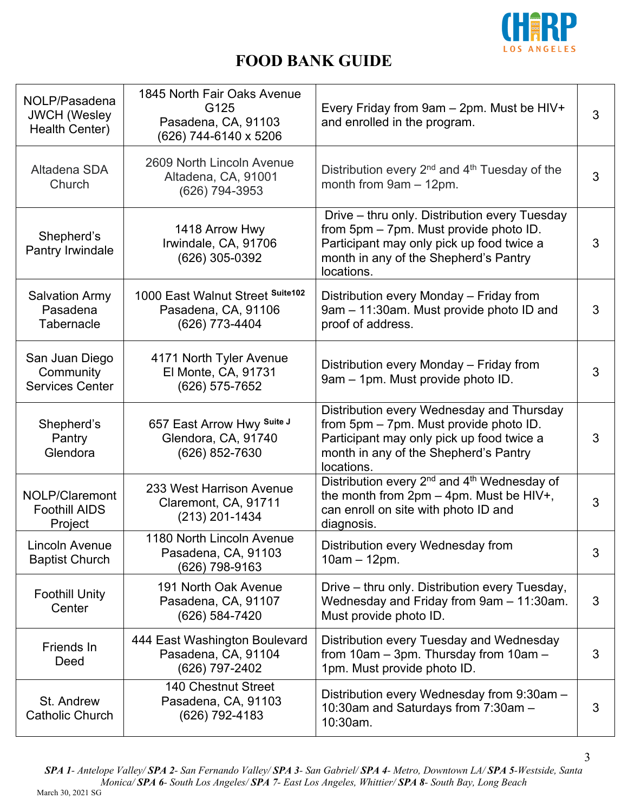

| NOLP/Pasadena<br><b>JWCH (Wesley</b><br>Health Center) | 1845 North Fair Oaks Avenue<br>G125<br>Pasadena, CA, 91103<br>(626) 744-6140 x 5206 | Every Friday from 9am - 2pm. Must be HIV+<br>and enrolled in the program.                                                                                                                   | $\mathfrak{S}$ |
|--------------------------------------------------------|-------------------------------------------------------------------------------------|---------------------------------------------------------------------------------------------------------------------------------------------------------------------------------------------|----------------|
| Altadena SDA<br>Church                                 | 2609 North Lincoln Avenue<br>Altadena, CA, 91001<br>(626) 794-3953                  | Distribution every $2^{nd}$ and $4^{th}$ Tuesday of the<br>month from $9am - 12pm$ .                                                                                                        | 3              |
| Shepherd's<br>Pantry Irwindale                         | 1418 Arrow Hwy<br>Irwindale, CA, 91706<br>(626) 305-0392                            | Drive – thru only. Distribution every Tuesday<br>from 5pm - 7pm. Must provide photo ID.<br>Participant may only pick up food twice a<br>month in any of the Shepherd's Pantry<br>locations. | 3              |
| <b>Salvation Army</b><br>Pasadena<br>Tabernacle        | 1000 East Walnut Street Suite102<br>Pasadena, CA, 91106<br>(626) 773-4404           | Distribution every Monday - Friday from<br>9am - 11:30am. Must provide photo ID and<br>proof of address.                                                                                    | 3              |
| San Juan Diego<br>Community<br><b>Services Center</b>  | 4171 North Tyler Avenue<br>El Monte, CA, 91731<br>(626) 575-7652                    | Distribution every Monday - Friday from<br>9am - 1pm. Must provide photo ID.                                                                                                                | 3              |
| Shepherd's<br>Pantry<br>Glendora                       | 657 East Arrow Hwy Suite J<br>Glendora, CA, 91740<br>(626) 852-7630                 | Distribution every Wednesday and Thursday<br>from 5pm - 7pm. Must provide photo ID.<br>Participant may only pick up food twice a<br>month in any of the Shepherd's Pantry<br>locations.     | 3              |
| NOLP/Claremont<br><b>Foothill AIDS</b><br>Project      | 233 West Harrison Avenue<br>Claremont, CA, 91711<br>(213) 201-1434                  | Distribution every 2 <sup>nd</sup> and 4 <sup>th</sup> Wednesday of<br>the month from $2pm - 4pm$ . Must be HIV+,<br>can enroll on site with photo ID and<br>diagnosis.                     | 3              |
| Lincoln Avenue<br><b>Baptist Church</b>                | 1180 North Lincoln Avenue<br>Pasadena, CA, 91103<br>(626) 798-9163                  | Distribution every Wednesday from<br>$10am - 12pm.$                                                                                                                                         | 3              |
| <b>Foothill Unity</b><br>Center                        | 191 North Oak Avenue<br>Pasadena, CA, 91107<br>(626) 584-7420                       | Drive - thru only. Distribution every Tuesday,<br>Wednesday and Friday from 9am - 11:30am.<br>Must provide photo ID.                                                                        | 3              |
| Friends In<br>Deed                                     | 444 East Washington Boulevard<br>Pasadena, CA, 91104<br>(626) 797-2402              | Distribution every Tuesday and Wednesday<br>from 10am - 3pm. Thursday from 10am -<br>1pm. Must provide photo ID.                                                                            | 3              |
| St. Andrew<br><b>Catholic Church</b>                   | 140 Chestnut Street<br>Pasadena, CA, 91103<br>(626) 792-4183                        | Distribution every Wednesday from 9:30am -<br>10:30am and Saturdays from 7:30am -<br>10:30am.                                                                                               | 3              |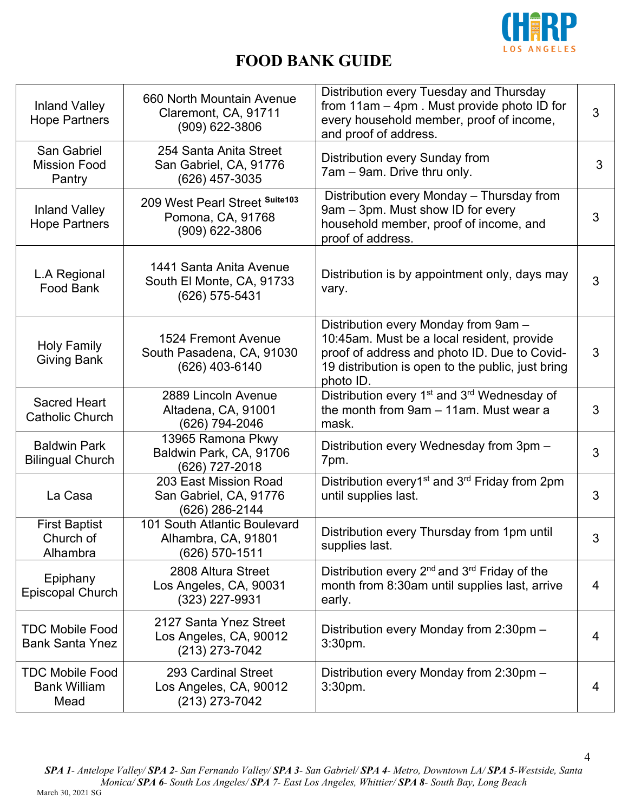

| <b>Inland Valley</b><br><b>Hope Partners</b>          | 660 North Mountain Avenue<br>Claremont, CA, 91711<br>(909) 622-3806    | Distribution every Tuesday and Thursday<br>from 11am - 4pm. Must provide photo ID for<br>every household member, proof of income,<br>and proof of address.                                           | 3 |
|-------------------------------------------------------|------------------------------------------------------------------------|------------------------------------------------------------------------------------------------------------------------------------------------------------------------------------------------------|---|
| San Gabriel<br><b>Mission Food</b><br>Pantry          | 254 Santa Anita Street<br>San Gabriel, CA, 91776<br>(626) 457-3035     | Distribution every Sunday from<br>7am - 9am. Drive thru only.                                                                                                                                        | 3 |
| <b>Inland Valley</b><br><b>Hope Partners</b>          | 209 West Pearl Street Suite103<br>Pomona, CA, 91768<br>(909) 622-3806  | Distribution every Monday - Thursday from<br>9am - 3pm. Must show ID for every<br>household member, proof of income, and<br>proof of address.                                                        | 3 |
| L.A Regional<br>Food Bank                             | 1441 Santa Anita Avenue<br>South El Monte, CA, 91733<br>(626) 575-5431 | Distribution is by appointment only, days may<br>vary.                                                                                                                                               | 3 |
| <b>Holy Family</b><br><b>Giving Bank</b>              | 1524 Fremont Avenue<br>South Pasadena, CA, 91030<br>(626) 403-6140     | Distribution every Monday from 9am -<br>10:45am. Must be a local resident, provide<br>proof of address and photo ID. Due to Covid-<br>19 distribution is open to the public, just bring<br>photo ID. | 3 |
| <b>Sacred Heart</b><br>Catholic Church                | 2889 Lincoln Avenue<br>Altadena, CA, 91001<br>(626) 794-2046           | Distribution every 1 <sup>st</sup> and 3 <sup>rd</sup> Wednesday of<br>the month from 9am - 11am. Must wear a<br>mask.                                                                               | 3 |
| <b>Baldwin Park</b><br><b>Bilingual Church</b>        | 13965 Ramona Pkwy<br>Baldwin Park, CA, 91706<br>(626) 727-2018         | Distribution every Wednesday from 3pm -<br>7pm.                                                                                                                                                      | 3 |
| La Casa                                               | 203 East Mission Road<br>San Gabriel, CA, 91776<br>(626) 286-2144      | Distribution every1 <sup>st</sup> and 3 <sup>rd</sup> Friday from 2pm<br>until supplies last.                                                                                                        | 3 |
| <b>First Baptist</b><br>Church of<br>Alhambra         | 101 South Atlantic Boulevard<br>Alhambra, CA, 91801<br>(626) 570-1511  | Distribution every Thursday from 1pm until<br>supplies last.                                                                                                                                         | 3 |
| Epiphany<br><b>Episcopal Church</b>                   | 2808 Altura Street<br>Los Angeles, CA, 90031<br>(323) 227-9931         | Distribution every 2 <sup>nd</sup> and 3 <sup>rd</sup> Friday of the<br>month from 8:30am until supplies last, arrive<br>early.                                                                      | 4 |
| <b>TDC Mobile Food</b><br><b>Bank Santa Ynez</b>      | 2127 Santa Ynez Street<br>Los Angeles, CA, 90012<br>(213) 273-7042     | Distribution every Monday from 2:30pm -<br>3:30pm.                                                                                                                                                   | 4 |
| <b>TDC Mobile Food</b><br><b>Bank William</b><br>Mead | 293 Cardinal Street<br>Los Angeles, CA, 90012<br>(213) 273-7042        | Distribution every Monday from 2:30pm -<br>3:30pm.                                                                                                                                                   | 4 |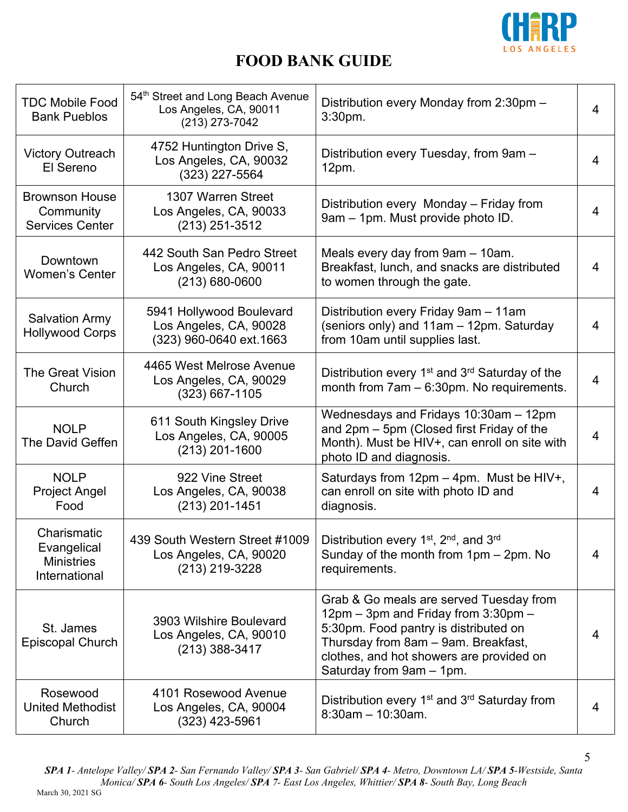

| <b>TDC Mobile Food</b><br><b>Bank Pueblos</b>                    | 54th Street and Long Beach Avenue<br>Los Angeles, CA, 90011<br>$(213)$ 273-7042 | Distribution every Monday from 2:30pm -<br>3:30pm.                                                                                                                                                                                     | 4              |
|------------------------------------------------------------------|---------------------------------------------------------------------------------|----------------------------------------------------------------------------------------------------------------------------------------------------------------------------------------------------------------------------------------|----------------|
| <b>Victory Outreach</b><br>El Sereno                             | 4752 Huntington Drive S,<br>Los Angeles, CA, 90032<br>(323) 227-5564            | Distribution every Tuesday, from 9am -<br>12pm.                                                                                                                                                                                        | $\overline{4}$ |
| <b>Brownson House</b><br>Community<br><b>Services Center</b>     | 1307 Warren Street<br>Los Angeles, CA, 90033<br>(213) 251-3512                  | Distribution every Monday - Friday from<br>9am - 1pm. Must provide photo ID.                                                                                                                                                           | $\overline{4}$ |
| Downtown<br><b>Women's Center</b>                                | 442 South San Pedro Street<br>Los Angeles, CA, 90011<br>$(213) 680 - 0600$      | Meals every day from 9am - 10am.<br>Breakfast, lunch, and snacks are distributed<br>to women through the gate.                                                                                                                         | 4              |
| <b>Salvation Army</b><br><b>Hollywood Corps</b>                  | 5941 Hollywood Boulevard<br>Los Angeles, CA, 90028<br>(323) 960-0640 ext. 1663  | Distribution every Friday 9am - 11am<br>(seniors only) and 11am - 12pm. Saturday<br>from 10am until supplies last.                                                                                                                     | $\overline{4}$ |
| <b>The Great Vision</b><br>Church                                | 4465 West Melrose Avenue<br>Los Angeles, CA, 90029<br>$(323)$ 667-1105          | Distribution every 1 <sup>st</sup> and 3 <sup>rd</sup> Saturday of the<br>month from $7am - 6:30pm$ . No requirements.                                                                                                                 | $\overline{4}$ |
| <b>NOLP</b><br>The David Geffen                                  | 611 South Kingsley Drive<br>Los Angeles, CA, 90005<br>$(213)$ 201-1600          | Wednesdays and Fridays 10:30am - 12pm<br>and 2pm - 5pm (Closed first Friday of the<br>Month). Must be HIV+, can enroll on site with<br>photo ID and diagnosis.                                                                         | $\overline{4}$ |
| <b>NOLP</b><br><b>Project Angel</b><br>Food                      | 922 Vine Street<br>Los Angeles, CA, 90038<br>$(213)$ 201-1451                   | Saturdays from $12pm - 4pm$ . Must be HIV+,<br>can enroll on site with photo ID and<br>diagnosis.                                                                                                                                      | 4              |
| Charismatic<br>Evangelical<br><b>Ministries</b><br>International | 439 South Western Street #1009<br>Los Angeles, CA, 90020<br>(213) 219-3228      | Distribution every 1 <sup>st</sup> , 2 <sup>nd</sup> , and 3 <sup>rd</sup><br>Sunday of the month from 1pm - 2pm. No<br>requirements.                                                                                                  | 4              |
| St. James<br>Episcopal Church                                    | 3903 Wilshire Boulevard<br>Los Angeles, CA, 90010<br>$(213)$ 388-3417           | Grab & Go meals are served Tuesday from<br>12pm - 3pm and Friday from 3:30pm -<br>5:30pm. Food pantry is distributed on<br>Thursday from 8am - 9am. Breakfast,<br>clothes, and hot showers are provided on<br>Saturday from 9am - 1pm. | 4              |
| Rosewood<br><b>United Methodist</b><br>Church                    | 4101 Rosewood Avenue<br>Los Angeles, CA, 90004<br>$(323)$ 423-5961              | Distribution every 1 <sup>st</sup> and 3 <sup>rd</sup> Saturday from<br>$8:30$ am - 10:30am.                                                                                                                                           | $\overline{4}$ |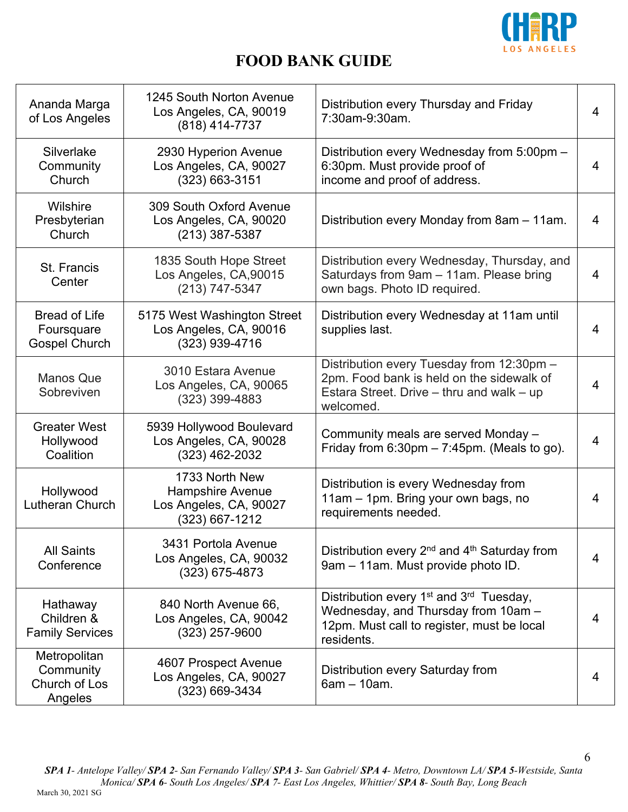

| Ananda Marga<br>of Los Angeles                             | 1245 South Norton Avenue<br>Los Angeles, CA, 90019<br>(818) 414-7737                  | Distribution every Thursday and Friday<br>7:30am-9:30am.                                                                                                           | $\overline{4}$ |
|------------------------------------------------------------|---------------------------------------------------------------------------------------|--------------------------------------------------------------------------------------------------------------------------------------------------------------------|----------------|
| Silverlake<br>Community<br>Church                          | 2930 Hyperion Avenue<br>Los Angeles, CA, 90027<br>$(323) 663 - 3151$                  | Distribution every Wednesday from 5:00pm -<br>6:30pm. Must provide proof of<br>income and proof of address.                                                        | $\overline{4}$ |
| Wilshire<br>Presbyterian<br>Church                         | 309 South Oxford Avenue<br>Los Angeles, CA, 90020<br>$(213)$ 387-5387                 | Distribution every Monday from 8am - 11am.                                                                                                                         | $\overline{4}$ |
| St. Francis<br>Center                                      | 1835 South Hope Street<br>Los Angeles, CA,90015<br>(213) 747-5347                     | Distribution every Wednesday, Thursday, and<br>Saturdays from 9am - 11am. Please bring<br>own bags. Photo ID required.                                             | $\overline{4}$ |
| <b>Bread of Life</b><br>Foursquare<br><b>Gospel Church</b> | 5175 West Washington Street<br>Los Angeles, CA, 90016<br>(323) 939-4716               | Distribution every Wednesday at 11am until<br>supplies last.                                                                                                       | 4              |
| <b>Manos Que</b><br>Sobreviven                             | 3010 Estara Avenue<br>Los Angeles, CA, 90065<br>(323) 399-4883                        | Distribution every Tuesday from 12:30pm -<br>2pm. Food bank is held on the sidewalk of<br>Estara Street. Drive – thru and walk – up<br>welcomed.                   | $\overline{4}$ |
| <b>Greater West</b><br>Hollywood<br>Coalition              | 5939 Hollywood Boulevard<br>Los Angeles, CA, 90028<br>(323) 462-2032                  | Community meals are served Monday -<br>Friday from $6:30$ pm $-7:45$ pm. (Meals to go).                                                                            | $\overline{4}$ |
| Hollywood<br>Lutheran Church                               | 1733 North New<br><b>Hampshire Avenue</b><br>Los Angeles, CA, 90027<br>(323) 667-1212 | Distribution is every Wednesday from<br>11am - 1pm. Bring your own bags, no<br>requirements needed.                                                                | 4              |
| <b>All Saints</b><br>Conference                            | 3431 Portola Avenue<br>Los Angeles, CA, 90032<br>$(323)$ 675-4873                     | Distribution every 2 <sup>nd</sup> and 4 <sup>th</sup> Saturday from<br>9am - 11am. Must provide photo ID.                                                         | $\overline{4}$ |
| Hathaway<br>Children &<br><b>Family Services</b>           | 840 North Avenue 66,<br>Los Angeles, CA, 90042<br>$(323)$ 257-9600                    | Distribution every 1 <sup>st</sup> and 3 <sup>rd</sup> Tuesday,<br>Wednesday, and Thursday from 10am -<br>12pm. Must call to register, must be local<br>residents. | 4              |
| Metropolitan<br>Community<br>Church of Los<br>Angeles      | 4607 Prospect Avenue<br>Los Angeles, CA, 90027<br>$(323) 669 - 3434$                  | Distribution every Saturday from<br>$6am - 10am$ .                                                                                                                 | 4              |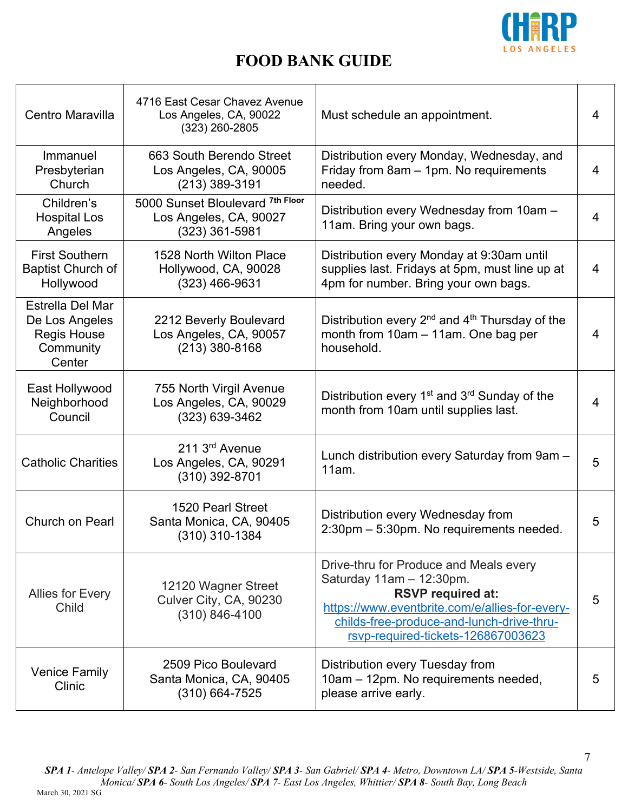

| Centro Maravilla                                                                | 4716 East Cesar Chavez Avenue<br>Los Angeles, CA, 90022<br>$(323)$ 260-2805    | Must schedule an appointment.                                                                                                                                                                                                         | 4 |
|---------------------------------------------------------------------------------|--------------------------------------------------------------------------------|---------------------------------------------------------------------------------------------------------------------------------------------------------------------------------------------------------------------------------------|---|
| Immanuel<br>Presbyterian<br>Church                                              | 663 South Berendo Street<br>Los Angeles, CA, 90005<br>$(213)$ 389-3191         | Distribution every Monday, Wednesday, and<br>Friday from 8am - 1pm. No requirements<br>needed.                                                                                                                                        | 4 |
| Children's<br><b>Hospital Los</b><br>Angeles                                    | 5000 Sunset Bloulevard 7th Floor<br>Los Angeles, CA, 90027<br>$(323)$ 361-5981 | Distribution every Wednesday from 10am -<br>11am. Bring your own bags.                                                                                                                                                                | 4 |
| <b>First Southern</b><br><b>Baptist Church of</b><br>Hollywood                  | 1528 North Wilton Place<br>Hollywood, CA, 90028<br>$(323)$ 466-9631            | Distribution every Monday at 9:30am until<br>supplies last. Fridays at 5pm, must line up at<br>4pm for number. Bring your own bags.                                                                                                   | 4 |
| Estrella Del Mar<br>De Los Angeles<br><b>Regis House</b><br>Community<br>Center | 2212 Beverly Boulevard<br>Los Angeles, CA, 90057<br>$(213)$ 380-8168           | Distribution every $2^{nd}$ and $4^{th}$ Thursday of the<br>month from 10am - 11am. One bag per<br>household.                                                                                                                         | 4 |
| East Hollywood<br>Neighborhood<br>Council                                       | 755 North Virgil Avenue<br>Los Angeles, CA, 90029<br>(323) 639-3462            | Distribution every $1st$ and $3rd$ Sunday of the<br>month from 10am until supplies last.                                                                                                                                              | 4 |
| <b>Catholic Charities</b>                                                       | 211 3 <sup>rd</sup> Avenue<br>Los Angeles, CA, 90291<br>$(310)$ 392-8701       | Lunch distribution every Saturday from 9am -<br>11am.                                                                                                                                                                                 | 5 |
| Church on Pearl                                                                 | 1520 Pearl Street<br>Santa Monica, CA, 90405<br>(310) 310-1384                 | Distribution every Wednesday from<br>2:30pm - 5:30pm. No requirements needed.                                                                                                                                                         | 5 |
| Allies for Every<br>Child                                                       | 12120 Wagner Street<br>Culver City, CA, 90230<br>(310) 846-4100                | Drive-thru for Produce and Meals every<br>Saturday $11am - 12:30pm.$<br><b>RSVP required at:</b><br>https://www.eventbrite.com/e/allies-for-every-<br>childs-free-produce-and-lunch-drive-thru-<br>rsvp-required-tickets-126867003623 | 5 |
| <b>Venice Family</b><br>Clinic                                                  | 2509 Pico Boulevard<br>Santa Monica, CA, 90405<br>$(310)$ 664-7525             | Distribution every Tuesday from<br>10am - 12pm. No requirements needed,<br>please arrive early.                                                                                                                                       | 5 |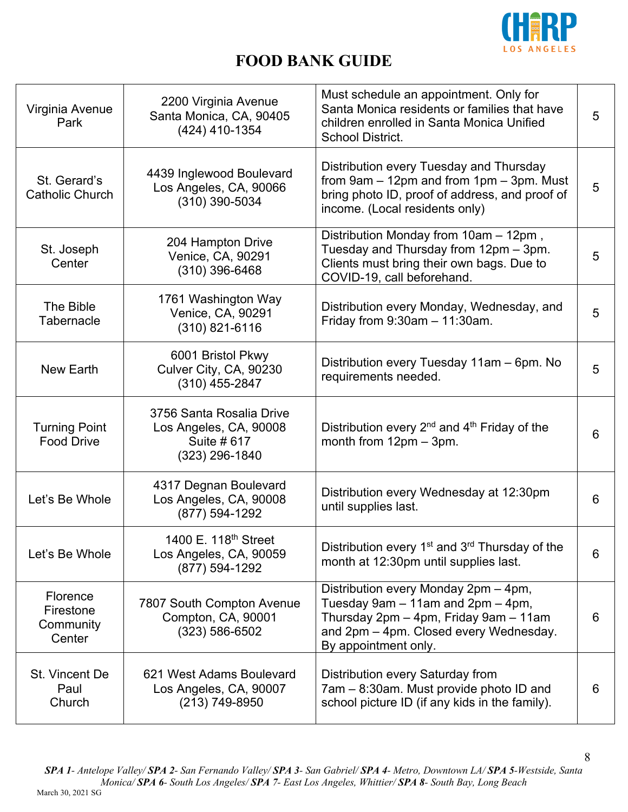

| Virginia Avenue<br>Park                      | 2200 Virginia Avenue<br>Santa Monica, CA, 90405<br>(424) 410-1354                     | Must schedule an appointment. Only for<br>Santa Monica residents or families that have<br>children enrolled in Santa Monica Unified<br><b>School District.</b>                       | 5 |
|----------------------------------------------|---------------------------------------------------------------------------------------|--------------------------------------------------------------------------------------------------------------------------------------------------------------------------------------|---|
| St. Gerard's<br>Catholic Church              | 4439 Inglewood Boulevard<br>Los Angeles, CA, 90066<br>(310) 390-5034                  | Distribution every Tuesday and Thursday<br>from $9am - 12pm$ and from $1pm - 3pm$ . Must<br>bring photo ID, proof of address, and proof of<br>income. (Local residents only)         | 5 |
| St. Joseph<br>Center                         | 204 Hampton Drive<br>Venice, CA, 90291<br>$(310)$ 396-6468                            | Distribution Monday from 10am - 12pm,<br>Tuesday and Thursday from 12pm - 3pm.<br>Clients must bring their own bags. Due to<br>COVID-19, call beforehand.                            | 5 |
| The Bible<br>Tabernacle                      | 1761 Washington Way<br>Venice, CA, 90291<br>$(310)$ 821-6116                          | Distribution every Monday, Wednesday, and<br>Friday from $9:30$ am $-11:30$ am.                                                                                                      | 5 |
| New Earth                                    | 6001 Bristol Pkwy<br>Culver City, CA, 90230<br>$(310)$ 455-2847                       | Distribution every Tuesday 11am - 6pm. No<br>requirements needed.                                                                                                                    | 5 |
| <b>Turning Point</b><br><b>Food Drive</b>    | 3756 Santa Rosalia Drive<br>Los Angeles, CA, 90008<br>Suite # 617<br>$(323)$ 296-1840 | Distribution every 2 <sup>nd</sup> and 4 <sup>th</sup> Friday of the<br>month from $12pm - 3pm$ .                                                                                    | 6 |
| Let's Be Whole                               | 4317 Degnan Boulevard<br>Los Angeles, CA, 90008<br>(877) 594-1292                     | Distribution every Wednesday at 12:30pm<br>until supplies last.                                                                                                                      | 6 |
| Let's Be Whole                               | 1400 E. 118 <sup>th</sup> Street<br>Los Angeles, CA, 90059<br>(877) 594-1292          | Distribution every 1 <sup>st</sup> and 3 <sup>rd</sup> Thursday of the<br>month at 12:30pm until supplies last.                                                                      | 6 |
| Florence<br>Firestone<br>Community<br>Center | 7807 South Compton Avenue<br>Compton, CA, 90001<br>$(323) 586 - 6502$                 | Distribution every Monday 2pm - 4pm,<br>Tuesday 9am - 11am and 2pm - 4pm,<br>Thursday 2pm - 4pm, Friday 9am - 11am<br>and 2pm - 4pm. Closed every Wednesday.<br>By appointment only. | 6 |
| St. Vincent De<br>Paul<br>Church             | 621 West Adams Boulevard<br>Los Angeles, CA, 90007<br>(213) 749-8950                  | Distribution every Saturday from<br>7am - 8:30am. Must provide photo ID and<br>school picture ID (if any kids in the family).                                                        | 6 |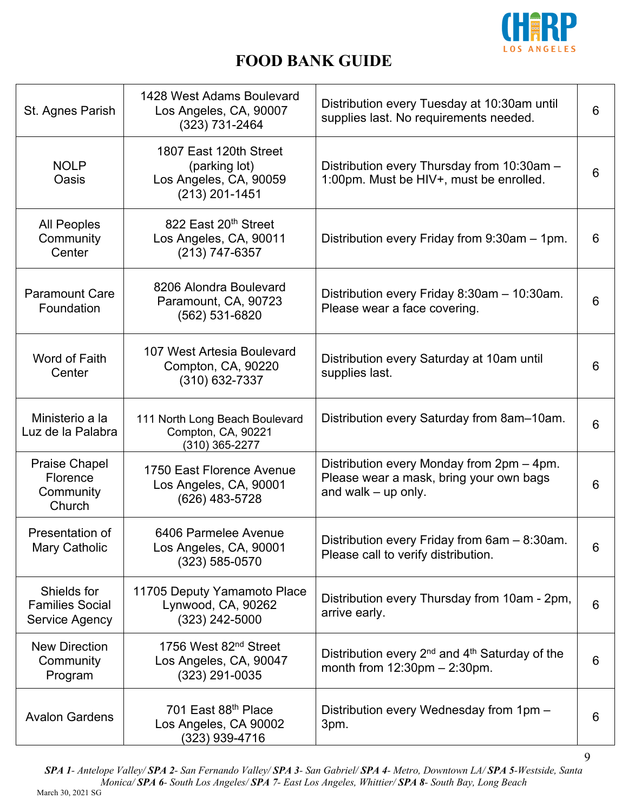

| St. Agnes Parish                                        | 1428 West Adams Boulevard<br>Los Angeles, CA, 90007<br>(323) 731-2464                 | Distribution every Tuesday at 10:30am until<br>supplies last. No requirements needed.                         | 6 |
|---------------------------------------------------------|---------------------------------------------------------------------------------------|---------------------------------------------------------------------------------------------------------------|---|
| <b>NOLP</b><br>Oasis                                    | 1807 East 120th Street<br>(parking lot)<br>Los Angeles, CA, 90059<br>$(213)$ 201-1451 | Distribution every Thursday from 10:30am -<br>1:00pm. Must be HIV+, must be enrolled.                         | 6 |
| <b>All Peoples</b><br>Community<br>Center               | 822 East 20th Street<br>Los Angeles, CA, 90011<br>(213) 747-6357                      | Distribution every Friday from 9:30am - 1pm.                                                                  | 6 |
| <b>Paramount Care</b><br>Foundation                     | 8206 Alondra Boulevard<br>Paramount, CA, 90723<br>(562) 531-6820                      | Distribution every Friday 8:30am - 10:30am.<br>Please wear a face covering.                                   | 6 |
| Word of Faith<br>Center                                 | 107 West Artesia Boulevard<br>Compton, CA, 90220<br>(310) 632-7337                    | Distribution every Saturday at 10am until<br>supplies last.                                                   | 6 |
| Ministerio a la<br>Luz de la Palabra                    | 111 North Long Beach Boulevard<br>Compton, CA, 90221<br>(310) 365-2277                | Distribution every Saturday from 8am-10am.                                                                    | 6 |
| <b>Praise Chapel</b><br>Florence<br>Community<br>Church | 1750 East Florence Avenue<br>Los Angeles, CA, 90001<br>(626) 483-5728                 | Distribution every Monday from 2pm - 4pm.<br>Please wear a mask, bring your own bags<br>and walk $-$ up only. | 6 |
| Presentation of<br>Mary Catholic                        | 6406 Parmelee Avenue<br>Los Angeles, CA, 90001<br>$(323) 585 - 0570$                  | Distribution every Friday from 6am - 8:30am.<br>Please call to verify distribution.                           | 6 |
| Shields for<br><b>Families Social</b><br>Service Agency | 11705 Deputy Yamamoto Place<br>Lynwood, CA, 90262<br>(323) 242-5000                   | Distribution every Thursday from 10am - 2pm,<br>arrive early.                                                 | 6 |
| <b>New Direction</b><br>Community<br>Program            | 1756 West 82 <sup>nd</sup> Street<br>Los Angeles, CA, 90047<br>$(323)$ 291-0035       | Distribution every $2^{nd}$ and $4^{th}$ Saturday of the<br>month from $12:30 \text{pm} - 2:30 \text{pm}$ .   | 6 |
| <b>Avalon Gardens</b>                                   | 701 East 88th Place<br>Los Angeles, CA 90002<br>(323) 939-4716                        | Distribution every Wednesday from 1pm -<br>3pm.                                                               | 6 |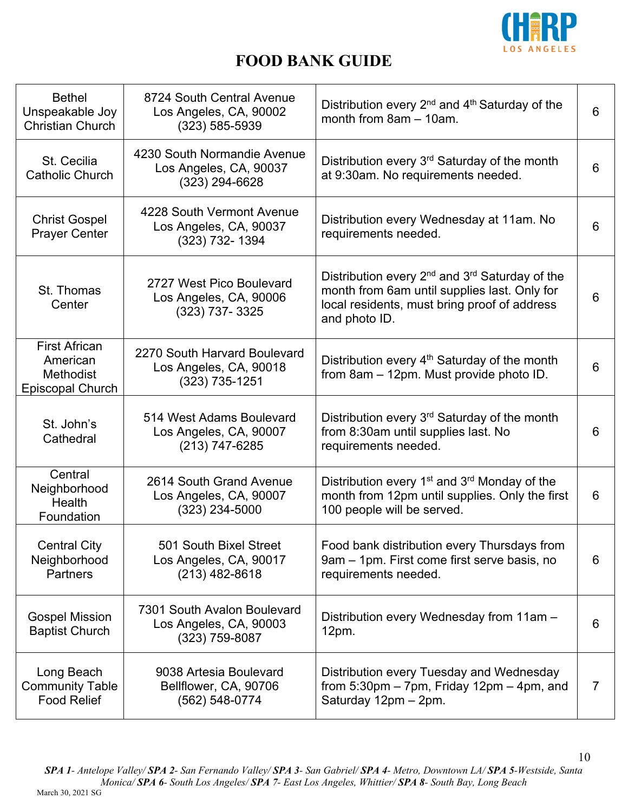

| <b>Bethel</b><br>Unspeakable Joy<br><b>Christian Church</b>                     | 8724 South Central Avenue<br>Los Angeles, CA, 90002<br>(323) 585-5939      | Distribution every 2 <sup>nd</sup> and 4 <sup>th</sup> Saturday of the<br>month from 8am - 10am.                                                                          | 6 |
|---------------------------------------------------------------------------------|----------------------------------------------------------------------------|---------------------------------------------------------------------------------------------------------------------------------------------------------------------------|---|
| St. Cecilia<br><b>Catholic Church</b>                                           | 4230 South Normandie Avenue<br>Los Angeles, CA, 90037<br>$(323)$ 294-6628  | Distribution every 3 <sup>rd</sup> Saturday of the month<br>at 9:30am. No requirements needed.                                                                            | 6 |
| <b>Christ Gospel</b><br><b>Prayer Center</b>                                    | 4228 South Vermont Avenue<br>Los Angeles, CA, 90037<br>(323) 732-1394      | Distribution every Wednesday at 11am. No<br>requirements needed.                                                                                                          | 6 |
| St. Thomas<br>Center                                                            | 2727 West Pico Boulevard<br>Los Angeles, CA, 90006<br>(323) 737-3325       | Distribution every $2^{nd}$ and $3^{rd}$ Saturday of the<br>month from 6am until supplies last. Only for<br>local residents, must bring proof of address<br>and photo ID. | 6 |
| <b>First African</b><br>American<br><b>Methodist</b><br><b>Episcopal Church</b> | 2270 South Harvard Boulevard<br>Los Angeles, CA, 90018<br>$(323)$ 735-1251 | Distribution every 4 <sup>th</sup> Saturday of the month<br>from 8am - 12pm. Must provide photo ID.                                                                       | 6 |
| St. John's<br>Cathedral                                                         | 514 West Adams Boulevard<br>Los Angeles, CA, 90007<br>$(213)$ 747-6285     | Distribution every 3 <sup>rd</sup> Saturday of the month<br>from 8:30am until supplies last. No<br>requirements needed.                                                   | 6 |
| Central<br>Neighborhood<br>Health<br>Foundation                                 | 2614 South Grand Avenue<br>Los Angeles, CA, 90007<br>(323) 234-5000        | Distribution every 1 <sup>st</sup> and 3 <sup>rd</sup> Monday of the<br>month from 12pm until supplies. Only the first<br>100 people will be served.                      | 6 |
| <b>Central City</b><br>Neighborhood<br><b>Partners</b>                          | 501 South Bixel Street<br>Los Angeles, CA, 90017<br>(213) 482-8618         | Food bank distribution every Thursdays from<br>9am - 1pm. First come first serve basis, no<br>requirements needed.                                                        | 6 |
| <b>Gospel Mission</b><br><b>Baptist Church</b>                                  | 7301 South Avalon Boulevard<br>Los Angeles, CA, 90003<br>(323) 759-8087    | Distribution every Wednesday from 11am -<br>12pm.                                                                                                                         | 6 |
| Long Beach<br><b>Community Table</b><br><b>Food Relief</b>                      | 9038 Artesia Boulevard<br>Bellflower, CA, 90706<br>(562) 548-0774          | Distribution every Tuesday and Wednesday<br>from $5:30$ pm $-7$ pm, Friday 12pm $-4$ pm, and<br>Saturday 12pm - 2pm.                                                      | 7 |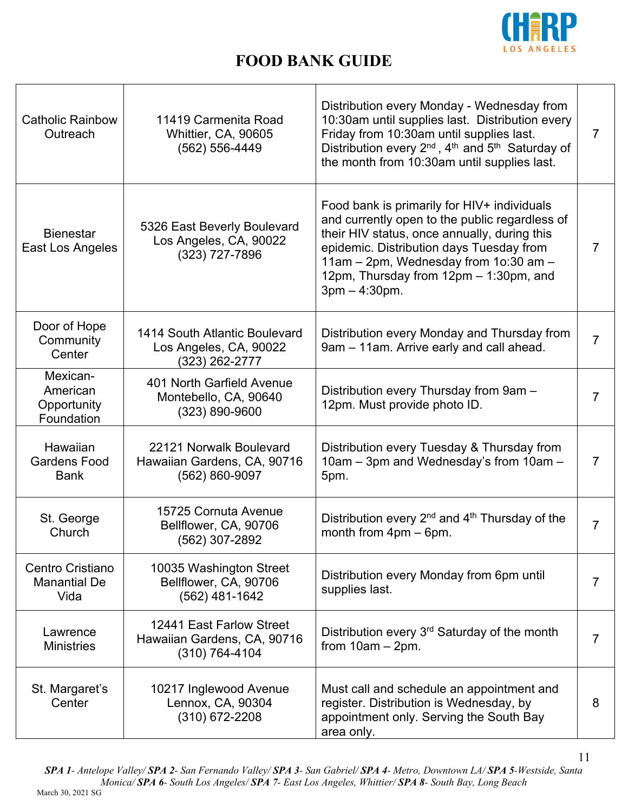

| <b>Catholic Rainbow</b><br>Outreach               | 11419 Carmenita Road<br>Whittier, CA, 90605<br>(562) 556-4449             | Distribution every Monday - Wednesday from<br>10:30am until supplies last. Distribution every<br>Friday from 10:30am until supplies last.<br>Distribution every 2 <sup>nd</sup> , 4 <sup>th</sup> and 5 <sup>th</sup> Saturday of<br>the month from 10:30am until supplies last.                | 7 |
|---------------------------------------------------|---------------------------------------------------------------------------|-------------------------------------------------------------------------------------------------------------------------------------------------------------------------------------------------------------------------------------------------------------------------------------------------|---|
| <b>Bienestar</b><br>East Los Angeles              | 5326 East Beverly Boulevard<br>Los Angeles, CA, 90022<br>(323) 727-7896   | Food bank is primarily for HIV+ individuals<br>and currently open to the public regardless of<br>their HIV status, once annually, during this<br>epidemic. Distribution days Tuesday from<br>11am - 2pm, Wednesday from 10:30 am -<br>12pm, Thursday from 12pm - 1:30pm, and<br>$3pm - 4:30pm.$ | 7 |
| Door of Hope<br>Community<br>Center               | 1414 South Atlantic Boulevard<br>Los Angeles, CA, 90022<br>(323) 262-2777 | Distribution every Monday and Thursday from<br>9am - 11am. Arrive early and call ahead.                                                                                                                                                                                                         | 7 |
| Mexican-<br>American<br>Opportunity<br>Foundation | 401 North Garfield Avenue<br>Montebello, CA, 90640<br>(323) 890-9600      | Distribution every Thursday from 9am -<br>12pm. Must provide photo ID.                                                                                                                                                                                                                          | 7 |
| Hawaiian<br><b>Gardens Food</b><br><b>Bank</b>    | 22121 Norwalk Boulevard<br>Hawaiian Gardens, CA, 90716<br>(562) 860-9097  | Distribution every Tuesday & Thursday from<br>10am - 3pm and Wednesday's from 10am -<br>5pm.                                                                                                                                                                                                    | 7 |
| St. George<br>Church                              | 15725 Cornuta Avenue<br>Bellflower, CA, 90706<br>(562) 307-2892           | Distribution every $2^{nd}$ and $4^{th}$ Thursday of the<br>month from $4pm - 6pm$ .                                                                                                                                                                                                            | 7 |
| Centro Cristiano<br><b>Manantial De</b><br>Vida   | 10035 Washington Street<br>Bellflower, CA, 90706<br>$(562)$ 481-1642      | Distribution every Monday from 6pm until<br>supplies last.                                                                                                                                                                                                                                      | 7 |
| Lawrence<br><b>Ministries</b>                     | 12441 East Farlow Street<br>Hawaiian Gardens, CA, 90716<br>(310) 764-4104 | Distribution every 3 <sup>rd</sup> Saturday of the month<br>from $10am - 2pm$ .                                                                                                                                                                                                                 | 7 |
| St. Margaret's<br>Center                          | 10217 Inglewood Avenue<br>Lennox, CA, 90304<br>$(310)$ 672-2208           | Must call and schedule an appointment and<br>register. Distribution is Wednesday, by<br>appointment only. Serving the South Bay<br>area only.                                                                                                                                                   | 8 |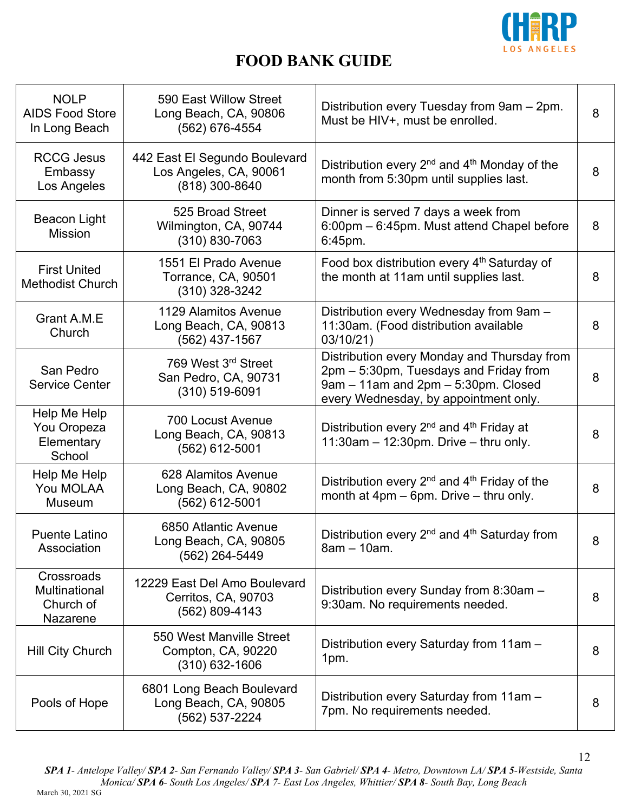

| <b>NOLP</b><br><b>AIDS Food Store</b><br>In Long Beach | 590 East Willow Street<br>Long Beach, CA, 90806<br>(562) 676-4554         | Distribution every Tuesday from 9am - 2pm.<br>Must be HIV+, must be enrolled.                                                                                         | 8 |
|--------------------------------------------------------|---------------------------------------------------------------------------|-----------------------------------------------------------------------------------------------------------------------------------------------------------------------|---|
| <b>RCCG Jesus</b><br>Embassy<br>Los Angeles            | 442 East El Segundo Boulevard<br>Los Angeles, CA, 90061<br>(818) 300-8640 | Distribution every 2 <sup>nd</sup> and 4 <sup>th</sup> Monday of the<br>month from 5:30pm until supplies last.                                                        | 8 |
| Beacon Light<br><b>Mission</b>                         | 525 Broad Street<br>Wilmington, CA, 90744<br>$(310) 830 - 7063$           | Dinner is served 7 days a week from<br>6:00pm - 6:45pm. Must attend Chapel before<br>6:45pm.                                                                          | 8 |
| <b>First United</b><br><b>Methodist Church</b>         | 1551 El Prado Avenue<br>Torrance, CA, 90501<br>(310) 328-3242             | Food box distribution every 4 <sup>th</sup> Saturday of<br>the month at 11am until supplies last.                                                                     | 8 |
| Grant A.M.E<br>Church                                  | 1129 Alamitos Avenue<br>Long Beach, CA, 90813<br>(562) 437-1567           | Distribution every Wednesday from 9am -<br>11:30am. (Food distribution available<br>03/10/21)                                                                         | 8 |
| San Pedro<br><b>Service Center</b>                     | 769 West 3rd Street<br>San Pedro, CA, 90731<br>$(310) 519 - 6091$         | Distribution every Monday and Thursday from<br>2pm – 5:30pm, Tuesdays and Friday from<br>9am - 11am and 2pm - 5:30pm. Closed<br>every Wednesday, by appointment only. | 8 |
| Help Me Help<br>You Oropeza<br>Elementary<br>School    | <b>700 Locust Avenue</b><br>Long Beach, CA, 90813<br>(562) 612-5001       | Distribution every $2^{nd}$ and $4^{th}$ Friday at<br>$11:30$ am - 12:30pm. Drive - thru only.                                                                        | 8 |
| Help Me Help<br>You MOLAA<br>Museum                    | 628 Alamitos Avenue<br>Long Beach, CA, 90802<br>(562) 612-5001            | Distribution every 2 <sup>nd</sup> and 4 <sup>th</sup> Friday of the<br>month at $4pm - 6pm$ . Drive $-$ thru only.                                                   | 8 |
| <b>Puente Latino</b><br>Association                    | 6850 Atlantic Avenue<br>Long Beach, CA, 90805<br>(562) 264-5449           | Distribution every 2 <sup>nd</sup> and 4 <sup>th</sup> Saturday from<br>8am - 10am.                                                                                   | 8 |
| Crossroads<br>Multinational<br>Church of<br>Nazarene   | 12229 East Del Amo Boulevard<br>Cerritos, CA, 90703<br>(562) 809-4143     | Distribution every Sunday from 8:30am -<br>9:30am. No requirements needed.                                                                                            | 8 |
| Hill City Church                                       | 550 West Manville Street<br>Compton, CA, 90220<br>$(310)$ 632-1606        | Distribution every Saturday from 11am -<br>1pm.                                                                                                                       | 8 |
| Pools of Hope                                          | 6801 Long Beach Boulevard<br>Long Beach, CA, 90805<br>(562) 537-2224      | Distribution every Saturday from 11am -<br>7pm. No requirements needed.                                                                                               | 8 |